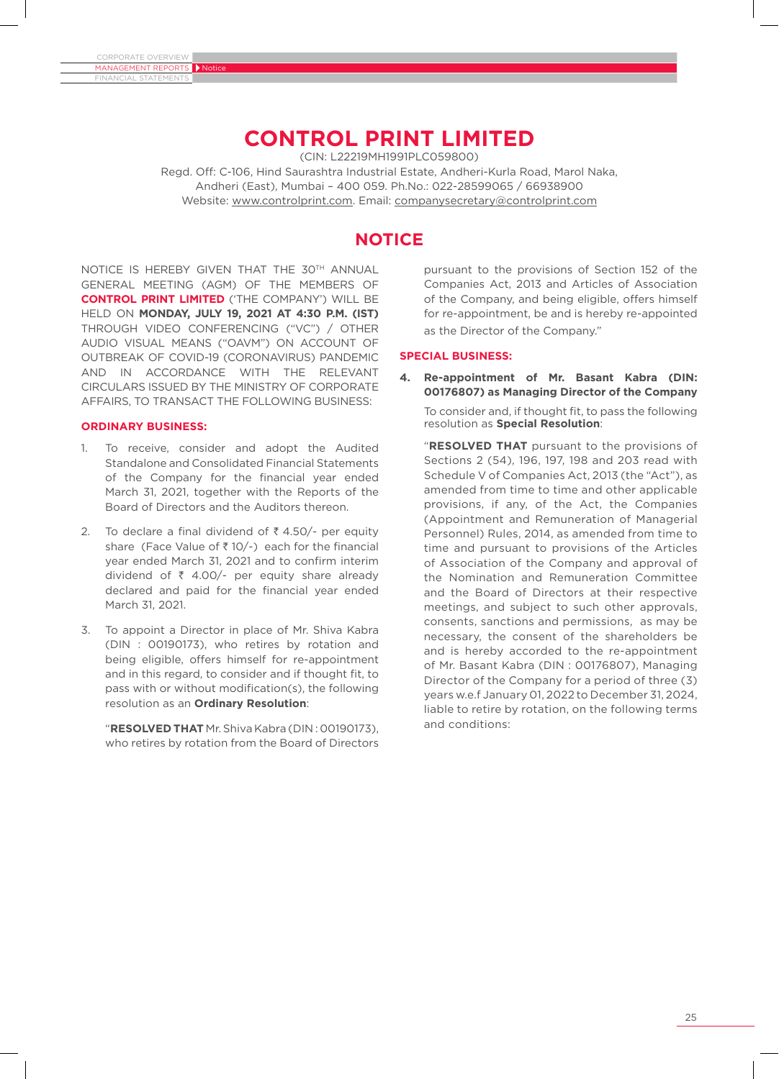# **CONTROL PRINT LIMITED**

(CIN: L22219MH1991PLC059800)

Regd. Off: C-106, Hind Saurashtra Industrial Estate, Andheri-Kurla Road, Marol Naka, Andheri (East), Mumbai – 400 059. Ph.No.: 022-28599065 / 66938900 Website: www.controlprint.com. Email: companysecretary@controlprint.com

# **NOTICE**

NOTICE IS HEREBY GIVEN THAT THE 30TH ANNUAL GENERAL MEETING (AGM) OF THE MEMBERS OF **CONTROL PRINT LIMITED** ('THE COMPANY') WILL BE HELD ON **MONDAY, JULY 19, 2021 AT 4:30 P.M. (IST)**  THROUGH VIDEO CONFERENCING ("VC") / OTHER AUDIO VISUAL MEANS ("OAVM") ON ACCOUNT OF OUTBREAK OF COVID-19 (CORONAVIRUS) PANDEMIC AND IN ACCORDANCE WITH THE RELEVANT CIRCULARS ISSUED BY THE MINISTRY OF CORPORATE AFFAIRS, TO TRANSACT THE FOLLOWING BUSINESS:

### **ORDINARY BUSINESS:**

- 1. To receive, consider and adopt the Audited Standalone and Consolidated Financial Statements of the Company for the financial year ended March 31, 2021, together with the Reports of the Board of Directors and the Auditors thereon.
- 2. To declare a final dividend of  $\bar{\tau}$  4.50/- per equity share (Face Value of  $\bar{z}$  10/-) each for the financial year ended March 31, 2021 and to confirm interim dividend of  $\bar{\tau}$  4.00/- per equity share already declared and paid for the financial year ended March 31, 2021.
- 3. To appoint a Director in place of Mr. Shiva Kabra (DIN : 00190173), who retires by rotation and being eligible, offers himself for re-appointment and in this regard, to consider and if thought fit, to pass with or without modification(s), the following resolution as an **Ordinary Resolution**:

"**RESOLVED THAT** Mr. Shiva Kabra (DIN : 00190173), who retires by rotation from the Board of Directors pursuant to the provisions of Section 152 of the Companies Act, 2013 and Articles of Association of the Company, and being eligible, offers himself for re-appointment, be and is hereby re-appointed as the Director of the Company."

### **SPECIAL BUSINESS:**

**4. Re-appointment of Mr. Basant Kabra (DIN: 00176807) as Managing Director of the Company**

 To consider and, if thought fit, to pass the following resolution as **Special Resolution**:

"**RESOLVED THAT** pursuant to the provisions of Sections 2 (54), 196, 197, 198 and 203 read with Schedule V of Companies Act, 2013 (the "Act"), as amended from time to time and other applicable provisions, if any, of the Act, the Companies (Appointment and Remuneration of Managerial Personnel) Rules, 2014, as amended from time to time and pursuant to provisions of the Articles of Association of the Company and approval of the Nomination and Remuneration Committee and the Board of Directors at their respective meetings, and subject to such other approvals, consents, sanctions and permissions, as may be necessary, the consent of the shareholders be and is hereby accorded to the re-appointment of Mr. Basant Kabra (DIN : 00176807), Managing Director of the Company for a period of three (3) years w.e.f January 01, 2022 to December 31, 2024, liable to retire by rotation, on the following terms and conditions: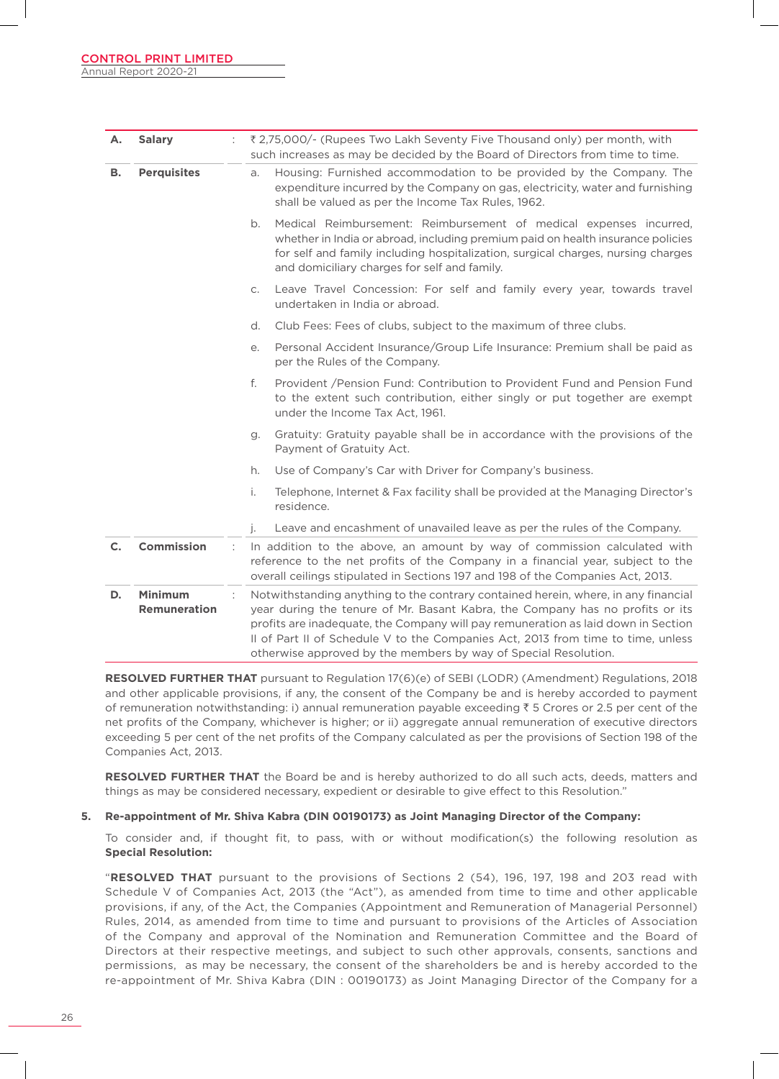| А.                       | <b>Salary</b>                         | ₹2,75,000/- (Rupees Two Lakh Seventy Five Thousand only) per month, with<br>such increases as may be decided by the Board of Directors from time to time.                                                                                                                                                                                                                                                       |  |
|--------------------------|---------------------------------------|-----------------------------------------------------------------------------------------------------------------------------------------------------------------------------------------------------------------------------------------------------------------------------------------------------------------------------------------------------------------------------------------------------------------|--|
| <b>Perquisites</b><br>в. |                                       | Housing: Furnished accommodation to be provided by the Company. The<br>a.<br>expenditure incurred by the Company on gas, electricity, water and furnishing<br>shall be valued as per the Income Tax Rules, 1962.                                                                                                                                                                                                |  |
|                          |                                       | Medical Reimbursement: Reimbursement of medical expenses incurred,<br>b.<br>whether in India or abroad, including premium paid on health insurance policies<br>for self and family including hospitalization, surgical charges, nursing charges<br>and domiciliary charges for self and family.                                                                                                                 |  |
|                          |                                       | Leave Travel Concession: For self and family every year, towards travel<br>$C_{1}$<br>undertaken in India or abroad.                                                                                                                                                                                                                                                                                            |  |
|                          |                                       | Club Fees: Fees of clubs, subject to the maximum of three clubs.<br>d.                                                                                                                                                                                                                                                                                                                                          |  |
|                          |                                       | Personal Accident Insurance/Group Life Insurance: Premium shall be paid as<br>е.<br>per the Rules of the Company.                                                                                                                                                                                                                                                                                               |  |
|                          |                                       | f.<br>Provident / Pension Fund: Contribution to Provident Fund and Pension Fund<br>to the extent such contribution, either singly or put together are exempt<br>under the Income Tax Act, 1961.                                                                                                                                                                                                                 |  |
|                          |                                       | Gratuity: Gratuity payable shall be in accordance with the provisions of the<br>g.<br>Payment of Gratuity Act.                                                                                                                                                                                                                                                                                                  |  |
|                          |                                       | Use of Company's Car with Driver for Company's business.<br>h.                                                                                                                                                                                                                                                                                                                                                  |  |
|                          |                                       | i.<br>Telephone, Internet & Fax facility shall be provided at the Managing Director's<br>residence.                                                                                                                                                                                                                                                                                                             |  |
|                          |                                       | Leave and encashment of unavailed leave as per the rules of the Company.<br>j.                                                                                                                                                                                                                                                                                                                                  |  |
| $\mathsf{C}$ .           | <b>Commission</b>                     | In addition to the above, an amount by way of commission calculated with<br>reference to the net profits of the Company in a financial year, subject to the<br>overall ceilings stipulated in Sections 197 and 198 of the Companies Act, 2013.                                                                                                                                                                  |  |
| D.                       | <b>Minimum</b><br><b>Remuneration</b> | Notwithstanding anything to the contrary contained herein, where, in any financial<br>year during the tenure of Mr. Basant Kabra, the Company has no profits or its<br>profits are inadequate, the Company will pay remuneration as laid down in Section<br>II of Part II of Schedule V to the Companies Act, 2013 from time to time, unless<br>otherwise approved by the members by way of Special Resolution. |  |

**RESOLVED FURTHER THAT** pursuant to Regulation 17(6)(e) of SEBI (LODR) (Amendment) Regulations, 2018 and other applicable provisions, if any, the consent of the Company be and is hereby accorded to payment of remuneration notwithstanding: i) annual remuneration payable exceeding  $\bar{\tau}$  5 Crores or 2.5 per cent of the net profits of the Company, whichever is higher; or ii) aggregate annual remuneration of executive directors exceeding 5 per cent of the net profits of the Company calculated as per the provisions of Section 198 of the Companies Act, 2013.

**RESOLVED FURTHER THAT** the Board be and is hereby authorized to do all such acts, deeds, matters and things as may be considered necessary, expedient or desirable to give effect to this Resolution."

#### **5. Re-appointment of Mr. Shiva Kabra (DIN 00190173) as Joint Managing Director of the Company:**

 To consider and, if thought fit, to pass, with or without modification(s) the following resolution as **Special Resolution:**

"**RESOLVED THAT** pursuant to the provisions of Sections 2 (54), 196, 197, 198 and 203 read with Schedule V of Companies Act, 2013 (the "Act"), as amended from time to time and other applicable provisions, if any, of the Act, the Companies (Appointment and Remuneration of Managerial Personnel) Rules, 2014, as amended from time to time and pursuant to provisions of the Articles of Association of the Company and approval of the Nomination and Remuneration Committee and the Board of Directors at their respective meetings, and subject to such other approvals, consents, sanctions and permissions, as may be necessary, the consent of the shareholders be and is hereby accorded to the re-appointment of Mr. Shiva Kabra (DIN : 00190173) as Joint Managing Director of the Company for a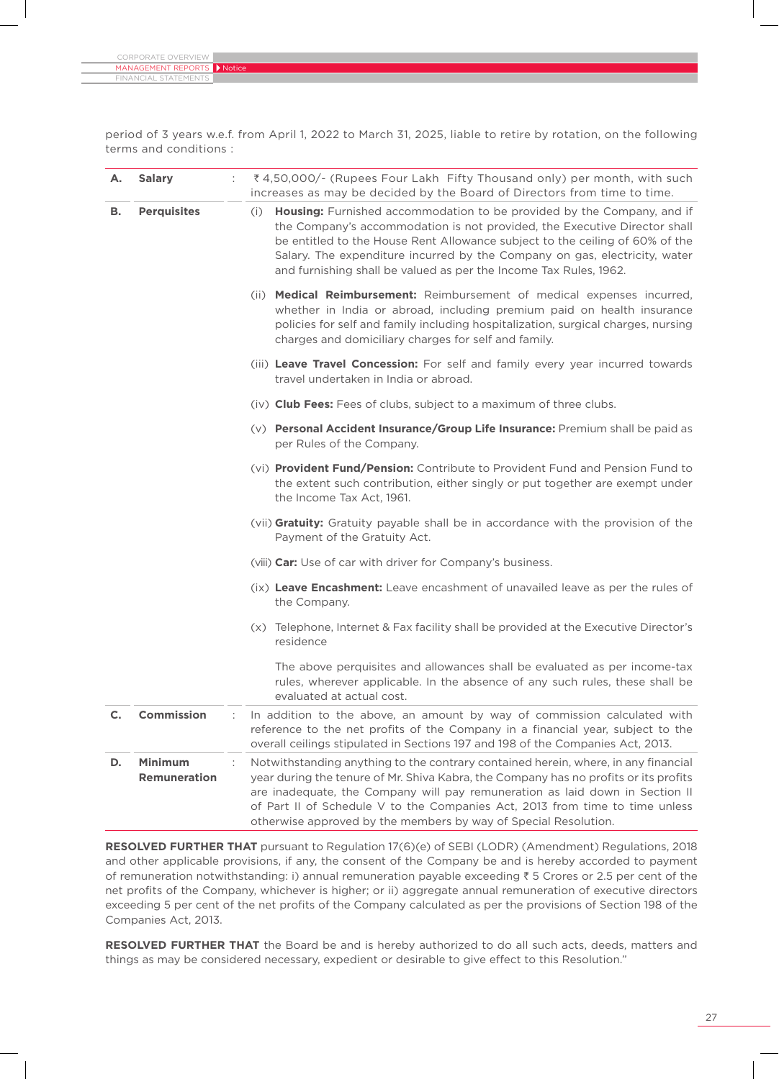| CORPORATE OVERVIEW $\blacksquare$ |  |
|-----------------------------------|--|
| MANAGEMENT REPORTS Notice         |  |
| <b>FINANCIAL STATEMENTS</b>       |  |

period of 3 years w.e.f. from April 1, 2022 to March 31, 2025, liable to retire by rotation, on the following terms and conditions :

| А.                       | <b>Salary</b>                         | ₹4,50,000/- (Rupees Four Lakh Fifty Thousand only) per month, with such<br>increases as may be decided by the Board of Directors from time to time.                                                                                                                                                                                                                                                           |  |
|--------------------------|---------------------------------------|---------------------------------------------------------------------------------------------------------------------------------------------------------------------------------------------------------------------------------------------------------------------------------------------------------------------------------------------------------------------------------------------------------------|--|
| <b>Perquisites</b><br>в. |                                       | Housing: Furnished accommodation to be provided by the Company, and if<br>(i)<br>the Company's accommodation is not provided, the Executive Director shall<br>be entitled to the House Rent Allowance subject to the ceiling of 60% of the<br>Salary. The expenditure incurred by the Company on gas, electricity, water<br>and furnishing shall be valued as per the Income Tax Rules, 1962.                 |  |
|                          |                                       | (ii) Medical Reimbursement: Reimbursement of medical expenses incurred,<br>whether in India or abroad, including premium paid on health insurance<br>policies for self and family including hospitalization, surgical charges, nursing<br>charges and domiciliary charges for self and family.                                                                                                                |  |
|                          |                                       | (iii) Leave Travel Concession: For self and family every year incurred towards<br>travel undertaken in India or abroad.                                                                                                                                                                                                                                                                                       |  |
|                          |                                       | (iv) Club Fees: Fees of clubs, subject to a maximum of three clubs.                                                                                                                                                                                                                                                                                                                                           |  |
|                          |                                       | (v) Personal Accident Insurance/Group Life Insurance: Premium shall be paid as<br>per Rules of the Company.                                                                                                                                                                                                                                                                                                   |  |
|                          |                                       | (vi) Provident Fund/Pension: Contribute to Provident Fund and Pension Fund to<br>the extent such contribution, either singly or put together are exempt under<br>the Income Tax Act, 1961.                                                                                                                                                                                                                    |  |
|                          |                                       | (vii) Gratuity: Gratuity payable shall be in accordance with the provision of the<br>Payment of the Gratuity Act.                                                                                                                                                                                                                                                                                             |  |
|                          |                                       | (viii) Car: Use of car with driver for Company's business.                                                                                                                                                                                                                                                                                                                                                    |  |
|                          |                                       | (ix) Leave Encashment: Leave encashment of unavailed leave as per the rules of<br>the Company.                                                                                                                                                                                                                                                                                                                |  |
|                          |                                       | (x) Telephone, Internet & Fax facility shall be provided at the Executive Director's<br>residence                                                                                                                                                                                                                                                                                                             |  |
|                          |                                       | The above perquisites and allowances shall be evaluated as per income-tax<br>rules, wherever applicable. In the absence of any such rules, these shall be<br>evaluated at actual cost.                                                                                                                                                                                                                        |  |
|                          | <b>Commission</b>                     | In addition to the above, an amount by way of commission calculated with<br>reference to the net profits of the Company in a financial year, subject to the<br>overall ceilings stipulated in Sections 197 and 198 of the Companies Act, 2013.                                                                                                                                                                |  |
| D.                       | <b>Minimum</b><br><b>Remuneration</b> | Notwithstanding anything to the contrary contained herein, where, in any financial<br>year during the tenure of Mr. Shiva Kabra, the Company has no profits or its profits<br>are inadequate, the Company will pay remuneration as laid down in Section II<br>of Part II of Schedule V to the Companies Act, 2013 from time to time unless<br>otherwise approved by the members by way of Special Resolution. |  |

**RESOLVED FURTHER THAT** pursuant to Regulation 17(6)(e) of SEBI (LODR) (Amendment) Regulations, 2018 and other applicable provisions, if any, the consent of the Company be and is hereby accorded to payment of remuneration notwithstanding: i) annual remuneration payable exceeding  $\bar{z}$  5 Crores or 2.5 per cent of the net profits of the Company, whichever is higher; or ii) aggregate annual remuneration of executive directors exceeding 5 per cent of the net profits of the Company calculated as per the provisions of Section 198 of the Companies Act, 2013.

**RESOLVED FURTHER THAT** the Board be and is hereby authorized to do all such acts, deeds, matters and things as may be considered necessary, expedient or desirable to give effect to this Resolution."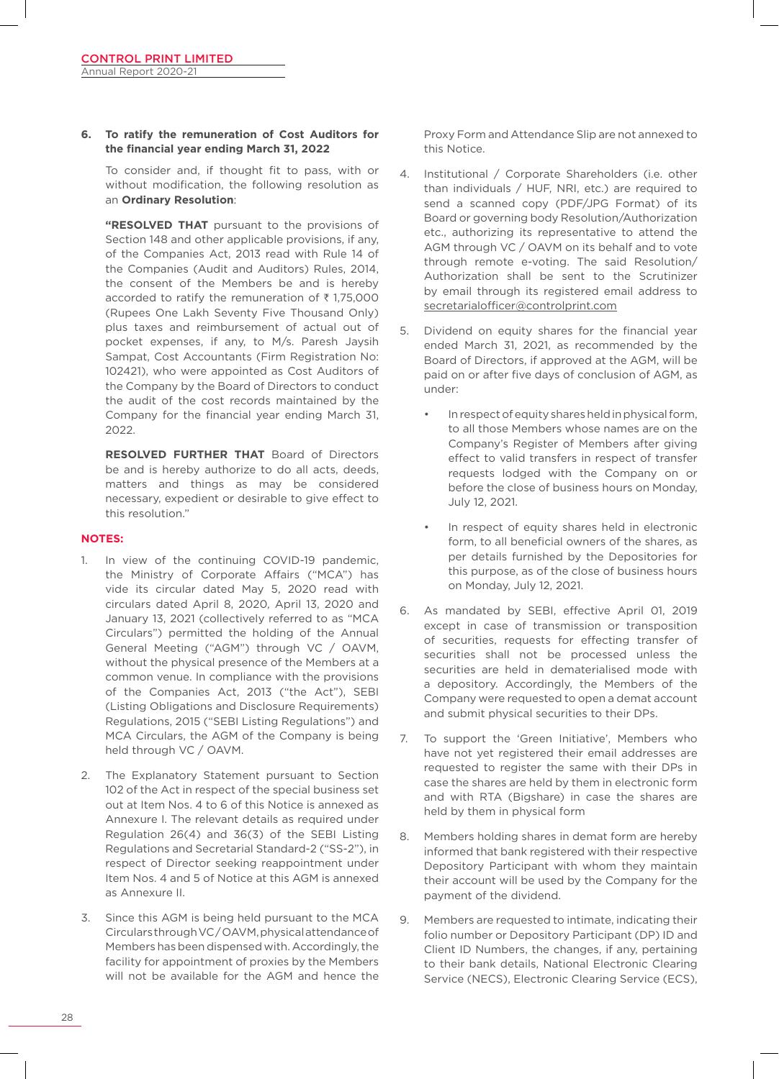#### **6. To ratify the remuneration of Cost Auditors for the financial year ending March 31, 2022**

 To consider and, if thought fit to pass, with or without modification, the following resolution as an **Ordinary Resolution**:

**"RESOLVED THAT** pursuant to the provisions of Section 148 and other applicable provisions, if any, of the Companies Act, 2013 read with Rule 14 of the Companies (Audit and Auditors) Rules, 2014, the consent of the Members be and is hereby accorded to ratify the remuneration of  $\bar{\tau}$  1,75,000 (Rupees One Lakh Seventy Five Thousand Only) plus taxes and reimbursement of actual out of pocket expenses, if any, to M/s. Paresh Jaysih Sampat, Cost Accountants (Firm Registration No: 102421), who were appointed as Cost Auditors of the Company by the Board of Directors to conduct the audit of the cost records maintained by the Company for the financial year ending March 31, 2022.

**RESOLVED FURTHER THAT** Board of Directors be and is hereby authorize to do all acts, deeds, matters and things as may be considered necessary, expedient or desirable to give effect to this resolution."

#### **NOTES:**

- 1. In view of the continuing COVID-19 pandemic, the Ministry of Corporate Affairs ("MCA") has vide its circular dated May 5, 2020 read with circulars dated April 8, 2020, April 13, 2020 and January 13, 2021 (collectively referred to as "MCA Circulars") permitted the holding of the Annual General Meeting ("AGM") through VC / OAVM, without the physical presence of the Members at a common venue. In compliance with the provisions of the Companies Act, 2013 ("the Act"), SEBI (Listing Obligations and Disclosure Requirements) Regulations, 2015 ("SEBI Listing Regulations") and MCA Circulars, the AGM of the Company is being held through VC / OAVM.
- 2. The Explanatory Statement pursuant to Section 102 of the Act in respect of the special business set out at Item Nos. 4 to 6 of this Notice is annexed as Annexure I. The relevant details as required under Regulation 26(4) and 36(3) of the SEBI Listing Regulations and Secretarial Standard-2 ("SS-2"), in respect of Director seeking reappointment under Item Nos. 4 and 5 of Notice at this AGM is annexed as Annexure II.
- 3. Since this AGM is being held pursuant to the MCA Circulars through VC / OAVM, physical attendance of Members has been dispensed with. Accordingly, the facility for appointment of proxies by the Members will not be available for the AGM and hence the

Proxy Form and Attendance Slip are not annexed to this Notice.

- 4. Institutional / Corporate Shareholders (i.e. other than individuals / HUF, NRI, etc.) are required to send a scanned copy (PDF/JPG Format) of its Board or governing body Resolution/Authorization etc., authorizing its representative to attend the AGM through VC / OAVM on its behalf and to vote through remote e-voting. The said Resolution/ Authorization shall be sent to the Scrutinizer by email through its registered email address to secretarialofficer@controlprint.com
- 5. Dividend on equity shares for the financial year ended March 31, 2021, as recommended by the Board of Directors, if approved at the AGM, will be paid on or after five days of conclusion of AGM, as under:
	- In respect of equity shares held in physical form, to all those Members whose names are on the Company's Register of Members after giving effect to valid transfers in respect of transfer requests lodged with the Company on or before the close of business hours on Monday, July 12, 2021.
	- In respect of equity shares held in electronic form, to all beneficial owners of the shares, as per details furnished by the Depositories for this purpose, as of the close of business hours on Monday, July 12, 2021.
- 6. As mandated by SEBI, effective April 01, 2019 except in case of transmission or transposition of securities, requests for effecting transfer of securities shall not be processed unless the securities are held in dematerialised mode with a depository. Accordingly, the Members of the Company were requested to open a demat account and submit physical securities to their DPs.
- 7. To support the 'Green Initiative', Members who have not yet registered their email addresses are requested to register the same with their DPs in case the shares are held by them in electronic form and with RTA (Bigshare) in case the shares are held by them in physical form
- 8. Members holding shares in demat form are hereby informed that bank registered with their respective Depository Participant with whom they maintain their account will be used by the Company for the payment of the dividend.
- 9. Members are requested to intimate, indicating their folio number or Depository Participant (DP) ID and Client ID Numbers, the changes, if any, pertaining to their bank details, National Electronic Clearing Service (NECS), Electronic Clearing Service (ECS),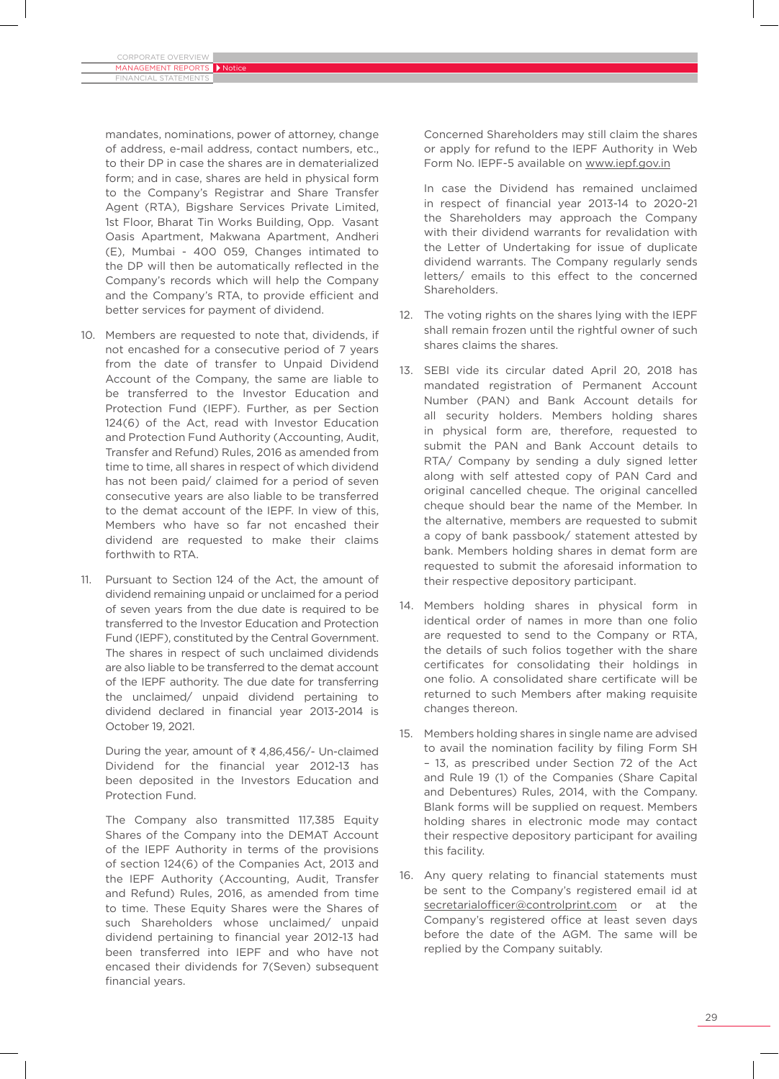Financial Statements

mandates, nominations, power of attorney, change of address, e-mail address, contact numbers, etc., to their DP in case the shares are in dematerialized form; and in case, shares are held in physical form to the Company's Registrar and Share Transfer Agent (RTA), Bigshare Services Private Limited, 1st Floor, Bharat Tin Works Building, Opp. Vasant Oasis Apartment, Makwana Apartment, Andheri (E), Mumbai - 400 059, Changes intimated to the DP will then be automatically reflected in the Company's records which will help the Company and the Company's RTA, to provide efficient and better services for payment of dividend.

- 10. Members are requested to note that, dividends, if not encashed for a consecutive period of 7 years from the date of transfer to Unpaid Dividend Account of the Company, the same are liable to be transferred to the Investor Education and Protection Fund (IEPF). Further, as per Section 124(6) of the Act, read with Investor Education and Protection Fund Authority (Accounting, Audit, Transfer and Refund) Rules, 2016 as amended from time to time, all shares in respect of which dividend has not been paid/ claimed for a period of seven consecutive years are also liable to be transferred to the demat account of the IEPF. In view of this, Members who have so far not encashed their dividend are requested to make their claims forthwith to RTA.
- 11. Pursuant to Section 124 of the Act, the amount of dividend remaining unpaid or unclaimed for a period of seven years from the due date is required to be transferred to the Investor Education and Protection Fund (IEPF), constituted by the Central Government. The shares in respect of such unclaimed dividends are also liable to be transferred to the demat account of the IEPF authority. The due date for transferring the unclaimed/ unpaid dividend pertaining to dividend declared in financial year 2013-2014 is October 19, 2021.

During the year, amount of  $\bar{\tau}$  4,86,456/- Un-claimed Dividend for the financial year 2012-13 has been deposited in the Investors Education and Protection Fund.

 The Company also transmitted 117,385 Equity Shares of the Company into the DEMAT Account of the IEPF Authority in terms of the provisions of section 124(6) of the Companies Act, 2013 and the IEPF Authority (Accounting, Audit, Transfer and Refund) Rules, 2016, as amended from time to time. These Equity Shares were the Shares of such Shareholders whose unclaimed/ unpaid dividend pertaining to financial year 2012-13 had been transferred into IEPF and who have not encased their dividends for 7(Seven) subsequent financial years.

Concerned Shareholders may still claim the shares or apply for refund to the IEPF Authority in Web Form No. IEPF-5 available on www.iepf.gov.in

 In case the Dividend has remained unclaimed in respect of financial year 2013-14 to 2020-21 the Shareholders may approach the Company with their dividend warrants for revalidation with the Letter of Undertaking for issue of duplicate dividend warrants. The Company regularly sends letters/ emails to this effect to the concerned Shareholders.

- 12. The voting rights on the shares lying with the IEPF shall remain frozen until the rightful owner of such shares claims the shares.
- 13. SEBI vide its circular dated April 20, 2018 has mandated registration of Permanent Account Number (PAN) and Bank Account details for all security holders. Members holding shares in physical form are, therefore, requested to submit the PAN and Bank Account details to RTA/ Company by sending a duly signed letter along with self attested copy of PAN Card and original cancelled cheque. The original cancelled cheque should bear the name of the Member. In the alternative, members are requested to submit a copy of bank passbook/ statement attested by bank. Members holding shares in demat form are requested to submit the aforesaid information to their respective depository participant.
- 14. Members holding shares in physical form in identical order of names in more than one folio are requested to send to the Company or RTA, the details of such folios together with the share certificates for consolidating their holdings in one folio. A consolidated share certificate will be returned to such Members after making requisite changes thereon.
- 15. Members holding shares in single name are advised to avail the nomination facility by filing Form SH – 13, as prescribed under Section 72 of the Act and Rule 19 (1) of the Companies (Share Capital and Debentures) Rules, 2014, with the Company. Blank forms will be supplied on request. Members holding shares in electronic mode may contact their respective depository participant for availing this facility.
- 16. Any query relating to financial statements must be sent to the Company's registered email id at secretarialofficer@controlprint.com or at the Company's registered office at least seven days before the date of the AGM. The same will be replied by the Company suitably.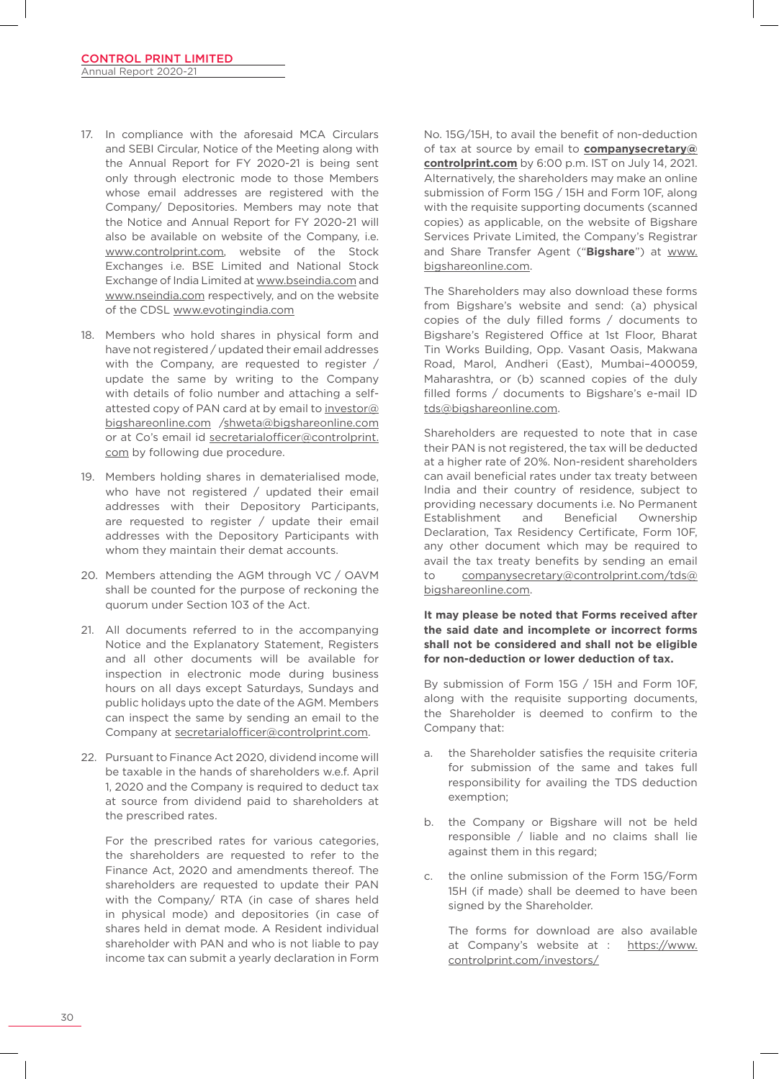- 17. In compliance with the aforesaid MCA Circulars and SEBI Circular, Notice of the Meeting along with the Annual Report for FY 2020-21 is being sent only through electronic mode to those Members whose email addresses are registered with the Company/ Depositories. Members may note that the Notice and Annual Report for FY 2020-21 will also be available on website of the Company, i.e. www.controlprint.com, website of the Stock Exchanges i.e. BSE Limited and National Stock Exchange of India Limited at www.bseindia.com and www.nseindia.com respectively, and on the website of the CDSL www.evotingindia.com
- 18. Members who hold shares in physical form and have not registered / updated their email addresses with the Company, are requested to register / update the same by writing to the Company with details of folio number and attaching a selfattested copy of PAN card at by email to investor@ bigshareonline.com /shweta@bigshareonline.com or at Co's email id secretarialofficer@controlprint. com by following due procedure.
- 19. Members holding shares in dematerialised mode, who have not registered / updated their email addresses with their Depository Participants, are requested to register / update their email addresses with the Depository Participants with whom they maintain their demat accounts.
- 20. Members attending the AGM through VC / OAVM shall be counted for the purpose of reckoning the quorum under Section 103 of the Act.
- 21. All documents referred to in the accompanying Notice and the Explanatory Statement, Registers and all other documents will be available for inspection in electronic mode during business hours on all days except Saturdays, Sundays and public holidays upto the date of the AGM. Members can inspect the same by sending an email to the Company at secretarialofficer@controlprint.com.
- 22. Pursuant to Finance Act 2020, dividend income will be taxable in the hands of shareholders w.e.f. April 1, 2020 and the Company is required to deduct tax at source from dividend paid to shareholders at the prescribed rates.

For the prescribed rates for various categories, the shareholders are requested to refer to the Finance Act, 2020 and amendments thereof. The shareholders are requested to update their PAN with the Company/ RTA (in case of shares held in physical mode) and depositories (in case of shares held in demat mode. A Resident individual shareholder with PAN and who is not liable to pay income tax can submit a yearly declaration in Form

No. 15G/15H, to avail the benefit of non-deduction of tax at source by email to **companysecretary@ controlprint.com** by 6:00 p.m. IST on July 14, 2021. Alternatively, the shareholders may make an online submission of Form 15G / 15H and Form 10F, along with the requisite supporting documents (scanned copies) as applicable, on the website of Bigshare Services Private Limited, the Company's Registrar and Share Transfer Agent ("**Bigshare**") at www. bigshareonline.com.

 The Shareholders may also download these forms from Bigshare's website and send: (a) physical copies of the duly filled forms / documents to Bigshare's Registered Office at 1st Floor, Bharat Tin Works Building, Opp. Vasant Oasis, Makwana Road, Marol, Andheri (East), Mumbai–400059, Maharashtra, or (b) scanned copies of the duly filled forms / documents to Bigshare's e-mail ID tds@bigshareonline.com.

 Shareholders are requested to note that in case their PAN is not registered, the tax will be deducted at a higher rate of 20%. Non-resident shareholders can avail beneficial rates under tax treaty between India and their country of residence, subject to providing necessary documents i.e. No Permanent Establishment and Beneficial Ownership Declaration, Tax Residency Certificate, Form 10F, any other document which may be required to avail the tax treaty benefits by sending an email to companysecretary@controlprint.com/tds@ bigshareonline.com.

### **It may please be noted that Forms received after the said date and incomplete or incorrect forms shall not be considered and shall not be eligible for non-deduction or lower deduction of tax.**

By submission of Form 15G / 15H and Form 10F, along with the requisite supporting documents, the Shareholder is deemed to confirm to the Company that:

- a. the Shareholder satisfies the requisite criteria for submission of the same and takes full responsibility for availing the TDS deduction exemption;
- b. the Company or Bigshare will not be held responsible / liable and no claims shall lie against them in this regard;
- c. the online submission of the Form 15G/Form 15H (if made) shall be deemed to have been signed by the Shareholder.

 The forms for download are also available at Company's website at : https://www. controlprint.com/investors/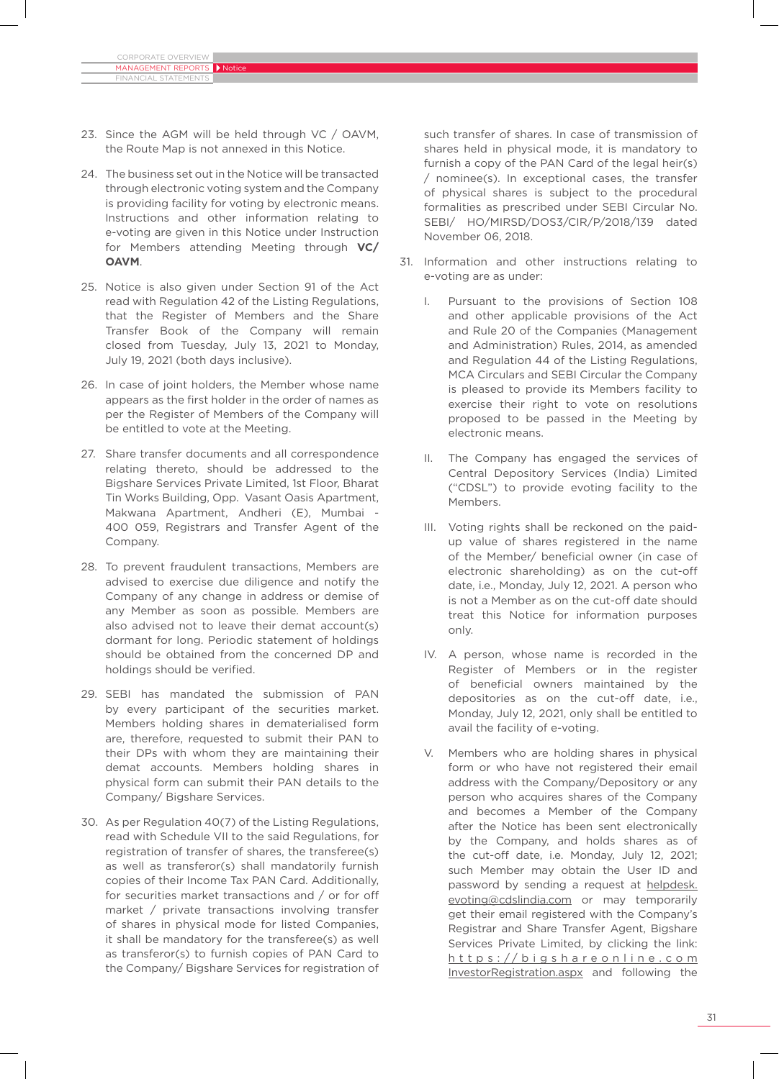Financial Statements

- 23. Since the AGM will be held through VC / OAVM, the Route Map is not annexed in this Notice.
- 24 The business set out in the Notice will be transacted through electronic voting system and the Company is providing facility for voting by electronic means. Instructions and other information relating to e-voting are given in this Notice under Instruction for Members attending Meeting through **VC/ OAVM**.
- 25. Notice is also given under Section 91 of the Act read with Regulation 42 of the Listing Regulations, that the Register of Members and the Share Transfer Book of the Company will remain closed from Tuesday, July 13, 2021 to Monday, July 19, 2021 (both days inclusive).
- 26. In case of joint holders, the Member whose name appears as the first holder in the order of names as per the Register of Members of the Company will be entitled to vote at the Meeting.
- 27. Share transfer documents and all correspondence relating thereto, should be addressed to the Bigshare Services Private Limited, 1st Floor, Bharat Tin Works Building, Opp. Vasant Oasis Apartment, Makwana Apartment, Andheri (E), Mumbai - 400 059, Registrars and Transfer Agent of the Company.
- 28. To prevent fraudulent transactions, Members are advised to exercise due diligence and notify the Company of any change in address or demise of any Member as soon as possible. Members are also advised not to leave their demat account(s) dormant for long. Periodic statement of holdings should be obtained from the concerned DP and holdings should be verified.
- 29. SEBI has mandated the submission of PAN by every participant of the securities market. Members holding shares in dematerialised form are, therefore, requested to submit their PAN to their DPs with whom they are maintaining their demat accounts. Members holding shares in physical form can submit their PAN details to the Company/ Bigshare Services.
- 30. As per Regulation 40(7) of the Listing Regulations, read with Schedule VII to the said Regulations, for registration of transfer of shares, the transferee(s) as well as transferor(s) shall mandatorily furnish copies of their Income Tax PAN Card. Additionally, for securities market transactions and / or for off market / private transactions involving transfer of shares in physical mode for listed Companies, it shall be mandatory for the transferee(s) as well as transferor(s) to furnish copies of PAN Card to the Company/ Bigshare Services for registration of

such transfer of shares. In case of transmission of shares held in physical mode, it is mandatory to furnish a copy of the PAN Card of the legal heir(s) / nominee(s). In exceptional cases, the transfer of physical shares is subject to the procedural formalities as prescribed under SEBI Circular No. SEBI/ HO/MIRSD/DOS3/CIR/P/2018/139 dated November 06, 2018.

- 31. Information and other instructions relating to e-voting are as under:
	- I. Pursuant to the provisions of Section 108 and other applicable provisions of the Act and Rule 20 of the Companies (Management and Administration) Rules, 2014, as amended and Regulation 44 of the Listing Regulations, MCA Circulars and SEBI Circular the Company is pleased to provide its Members facility to exercise their right to vote on resolutions proposed to be passed in the Meeting by electronic means.
	- II. The Company has engaged the services of Central Depository Services (India) Limited ("CDSL") to provide evoting facility to the Members.
	- III. Voting rights shall be reckoned on the paidup value of shares registered in the name of the Member/ beneficial owner (in case of electronic shareholding) as on the cut-off date, i.e., Monday, July 12, 2021. A person who is not a Member as on the cut-off date should treat this Notice for information purposes only.
	- IV. A person, whose name is recorded in the Register of Members or in the register of beneficial owners maintained by the depositories as on the cut-off date, i.e., Monday, July 12, 2021, only shall be entitled to avail the facility of e-voting.
	- V. Members who are holding shares in physical form or who have not registered their email address with the Company/Depository or any person who acquires shares of the Company and becomes a Member of the Company after the Notice has been sent electronically by the Company, and holds shares as of the cut-off date, i.e. Monday, July 12, 2021; such Member may obtain the User ID and password by sending a request at helpdesk. evoting@cdslindia.com or may temporarily get their email registered with the Company's Registrar and Share Transfer Agent, Bigshare Services Private Limited, by clicking the link: https://bigshareonline.com InvestorRegistration.aspx and following the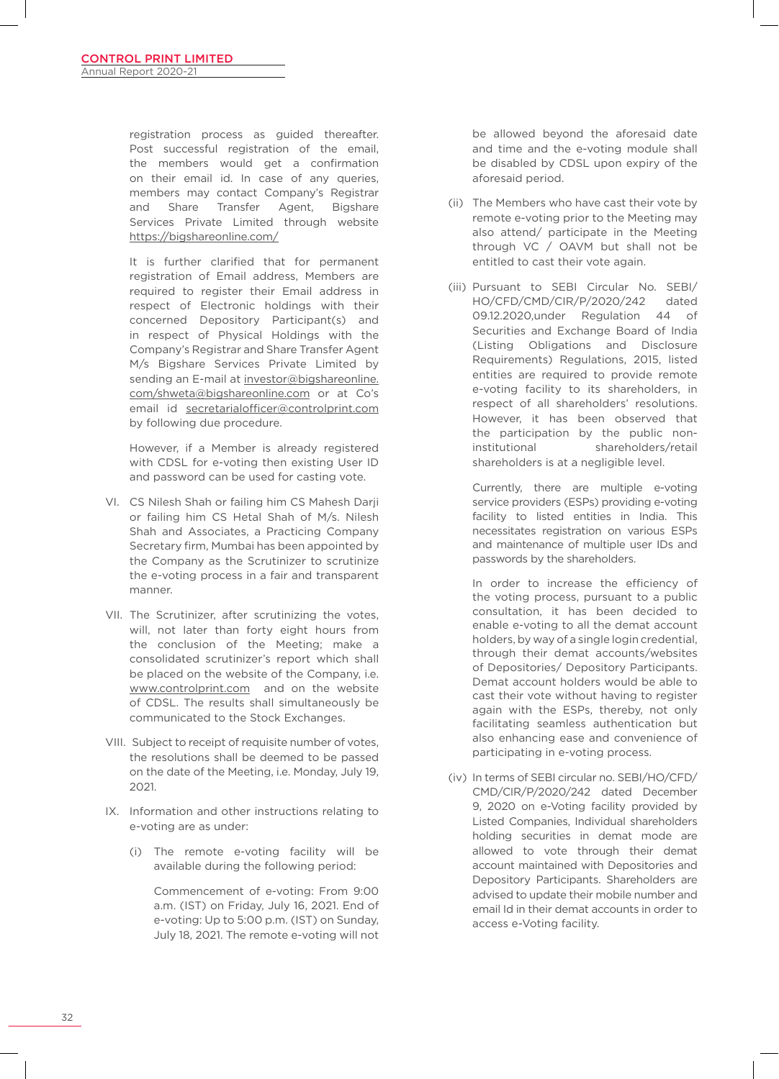registration process as guided thereafter. Post successful registration of the email, the members would get a confirmation on their email id. In case of any queries, members may contact Company's Registrar and Share Transfer Agent, Bigshare Services Private Limited through website https://bigshareonline.com/

 It is further clarified that for permanent registration of Email address, Members are required to register their Email address in respect of Electronic holdings with their concerned Depository Participant(s) and in respect of Physical Holdings with the Company's Registrar and Share Transfer Agent M/s Bigshare Services Private Limited by sending an E-mail at investor@bigshareonline. com/shweta@bigshareonline.com or at Co's email id secretarialofficer@controlprint.com by following due procedure.

However, if a Member is already registered with CDSL for e-voting then existing User ID and password can be used for casting vote.

- VI. CS Nilesh Shah or failing him CS Mahesh Darji or failing him CS Hetal Shah of M/s. Nilesh Shah and Associates, a Practicing Company Secretary firm, Mumbai has been appointed by the Company as the Scrutinizer to scrutinize the e-voting process in a fair and transparent manner.
- VII. The Scrutinizer, after scrutinizing the votes, will, not later than forty eight hours from the conclusion of the Meeting; make a consolidated scrutinizer's report which shall be placed on the website of the Company, i.e. www.controlprint.com and on the website of CDSL. The results shall simultaneously be communicated to the Stock Exchanges.
- VIII. Subject to receipt of requisite number of votes, the resolutions shall be deemed to be passed on the date of the Meeting, i.e. Monday, July 19, 2021.
- IX. Information and other instructions relating to e-voting are as under:
	- (i) The remote e-voting facility will be available during the following period:

Commencement of e-voting: From 9:00 a.m. (IST) on Friday, July 16, 2021. End of e-voting: Up to 5:00 p.m. (IST) on Sunday, July 18, 2021. The remote e-voting will not

be allowed beyond the aforesaid date and time and the e-voting module shall be disabled by CDSL upon expiry of the aforesaid period.

- (ii) The Members who have cast their vote by remote e-voting prior to the Meeting may also attend/ participate in the Meeting through VC / OAVM but shall not be entitled to cast their vote again.
- (iii) Pursuant to SEBI Circular No. SEBI/ HO/CFD/CMD/CIR/P/2020/242 dated 09.12.2020,under Regulation 44 of Securities and Exchange Board of India (Listing Obligations and Disclosure Requirements) Regulations, 2015, listed entities are required to provide remote e-voting facility to its shareholders, in respect of all shareholders' resolutions. However, it has been observed that the participation by the public noninstitutional shareholders/retail shareholders is at a negligible level.

Currently, there are multiple e-voting service providers (ESPs) providing e-voting facility to listed entities in India. This necessitates registration on various ESPs and maintenance of multiple user IDs and passwords by the shareholders.

 In order to increase the efficiency of the voting process, pursuant to a public consultation, it has been decided to enable e-voting to all the demat account holders, by way of a single login credential, through their demat accounts/websites of Depositories/ Depository Participants. Demat account holders would be able to cast their vote without having to register again with the ESPs, thereby, not only facilitating seamless authentication but also enhancing ease and convenience of participating in e-voting process.

(iv) In terms of SEBI circular no. SEBI/HO/CFD/ CMD/CIR/P/2020/242 dated December 9, 2020 on e-Voting facility provided by Listed Companies, Individual shareholders holding securities in demat mode are allowed to vote through their demat account maintained with Depositories and Depository Participants. Shareholders are advised to update their mobile number and email Id in their demat accounts in order to access e-Voting facility.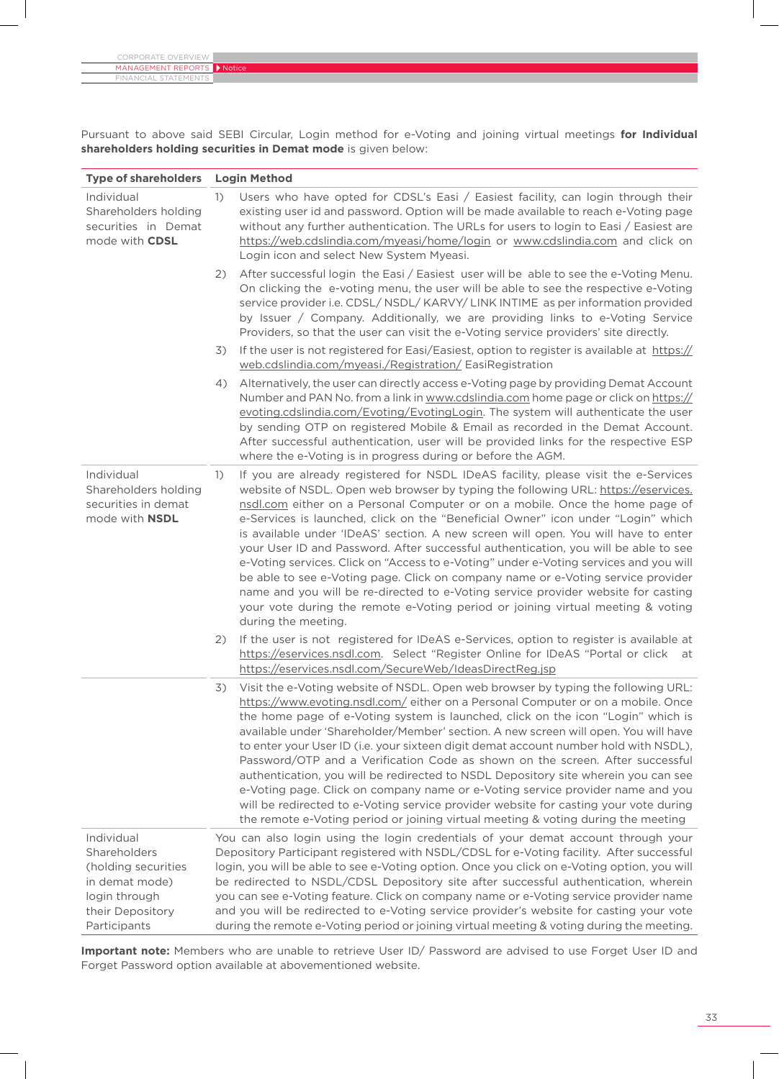| CORPORATE OVERVIEW  |               |
|---------------------|---------------|
| MANAGEMENT REPORTS  | <b>Notice</b> |
| FINANCIAL STATEMENT |               |

Pursuant to above said SEBI Circular, Login method for e-Voting and joining virtual meetings **for Individual shareholders holding securities in Demat mode** is given below:

| <b>Type of shareholders</b>                                                                                                     | <b>Login Method</b>                                                                                                                                                                                                                                                                                                                                                                                                                                                                                                                                                                                                                                                                                                                                                                                                                                                                                                                  |  |  |
|---------------------------------------------------------------------------------------------------------------------------------|--------------------------------------------------------------------------------------------------------------------------------------------------------------------------------------------------------------------------------------------------------------------------------------------------------------------------------------------------------------------------------------------------------------------------------------------------------------------------------------------------------------------------------------------------------------------------------------------------------------------------------------------------------------------------------------------------------------------------------------------------------------------------------------------------------------------------------------------------------------------------------------------------------------------------------------|--|--|
| Individual<br>Shareholders holding<br>securities in Demat<br>mode with CDSL                                                     | Users who have opted for CDSL's Easi / Easiest facility, can login through their<br>$\left( \frac{1}{2} \right)$<br>existing user id and password. Option will be made available to reach e-Voting page<br>without any further authentication. The URLs for users to login to Easi / Easiest are<br>https://web.cdslindia.com/myeasi/home/login or www.cdslindia.com and click on<br>Login icon and select New System Myeasi.                                                                                                                                                                                                                                                                                                                                                                                                                                                                                                        |  |  |
|                                                                                                                                 | After successful login the Easi / Easiest user will be able to see the e-Voting Menu.<br>2)<br>On clicking the e-voting menu, the user will be able to see the respective e-Voting<br>service provider i.e. CDSL/ NSDL/ KARVY/ LINK INTIME as per information provided<br>by Issuer / Company. Additionally, we are providing links to e-Voting Service<br>Providers, so that the user can visit the e-Voting service providers' site directly.                                                                                                                                                                                                                                                                                                                                                                                                                                                                                      |  |  |
|                                                                                                                                 | If the user is not registered for Easi/Easiest, option to register is available at https://<br>3)<br>web.cdslindia.com/myeasi./Registration/ EasiRegistration                                                                                                                                                                                                                                                                                                                                                                                                                                                                                                                                                                                                                                                                                                                                                                        |  |  |
|                                                                                                                                 | Alternatively, the user can directly access e-Voting page by providing Demat Account<br>4)<br>Number and PAN No. from a link in www.cdslindia.com home page or click on https://<br>evoting.cdslindia.com/Evoting/EvotingLogin. The system will authenticate the user<br>by sending OTP on registered Mobile & Email as recorded in the Demat Account.<br>After successful authentication, user will be provided links for the respective ESP<br>where the e-Voting is in progress during or before the AGM.                                                                                                                                                                                                                                                                                                                                                                                                                         |  |  |
| Individual<br>Shareholders holding<br>securities in demat<br>mode with <b>NSDL</b>                                              | If you are already registered for NSDL IDeAS facility, please visit the e-Services<br>$\left( \frac{1}{2} \right)$<br>website of NSDL. Open web browser by typing the following URL: https://eservices.<br>nsdl.com either on a Personal Computer or on a mobile. Once the home page of<br>e-Services is launched, click on the "Beneficial Owner" icon under "Login" which<br>is available under 'IDeAS' section. A new screen will open. You will have to enter<br>your User ID and Password. After successful authentication, you will be able to see<br>e-Voting services. Click on "Access to e-Voting" under e-Voting services and you will<br>be able to see e-Voting page. Click on company name or e-Voting service provider<br>name and you will be re-directed to e-Voting service provider website for casting<br>your vote during the remote e-Voting period or joining virtual meeting & voting<br>during the meeting. |  |  |
|                                                                                                                                 | If the user is not registered for IDeAS e-Services, option to register is available at<br>2)<br>https://eservices.nsdl.com. Select "Register Online for IDeAS "Portal or click at<br>https://eservices.nsdl.com/SecureWeb/IdeasDirectReg.jsp                                                                                                                                                                                                                                                                                                                                                                                                                                                                                                                                                                                                                                                                                         |  |  |
|                                                                                                                                 | Visit the e-Voting website of NSDL. Open web browser by typing the following URL:<br>3)<br>https://www.evoting.nsdl.com/ either on a Personal Computer or on a mobile. Once<br>the home page of e-Voting system is launched, click on the icon "Login" which is<br>available under 'Shareholder/Member' section. A new screen will open. You will have<br>to enter your User ID (i.e. your sixteen digit demat account number hold with NSDL),<br>Password/OTP and a Verification Code as shown on the screen. After successful<br>authentication, you will be redirected to NSDL Depository site wherein you can see<br>e-Voting page. Click on company name or e-Voting service provider name and you<br>will be redirected to e-Voting service provider website for casting your vote during<br>the remote e-Voting period or joining virtual meeting & voting during the meeting                                                 |  |  |
| Individual<br><b>Shareholders</b><br>(holding securities<br>in demat mode)<br>login through<br>their Depository<br>Participants | You can also login using the login credentials of your demat account through your<br>Depository Participant registered with NSDL/CDSL for e-Voting facility. After successful<br>login, you will be able to see e-Voting option. Once you click on e-Voting option, you will<br>be redirected to NSDL/CDSL Depository site after successful authentication, wherein<br>you can see e-Voting feature. Click on company name or e-Voting service provider name<br>and you will be redirected to e-Voting service provider's website for casting your vote<br>during the remote e-Voting period or joining virtual meeting & voting during the meeting.                                                                                                                                                                                                                                                                                 |  |  |

**Important note:** Members who are unable to retrieve User ID/ Password are advised to use Forget User ID and Forget Password option available at abovementioned website.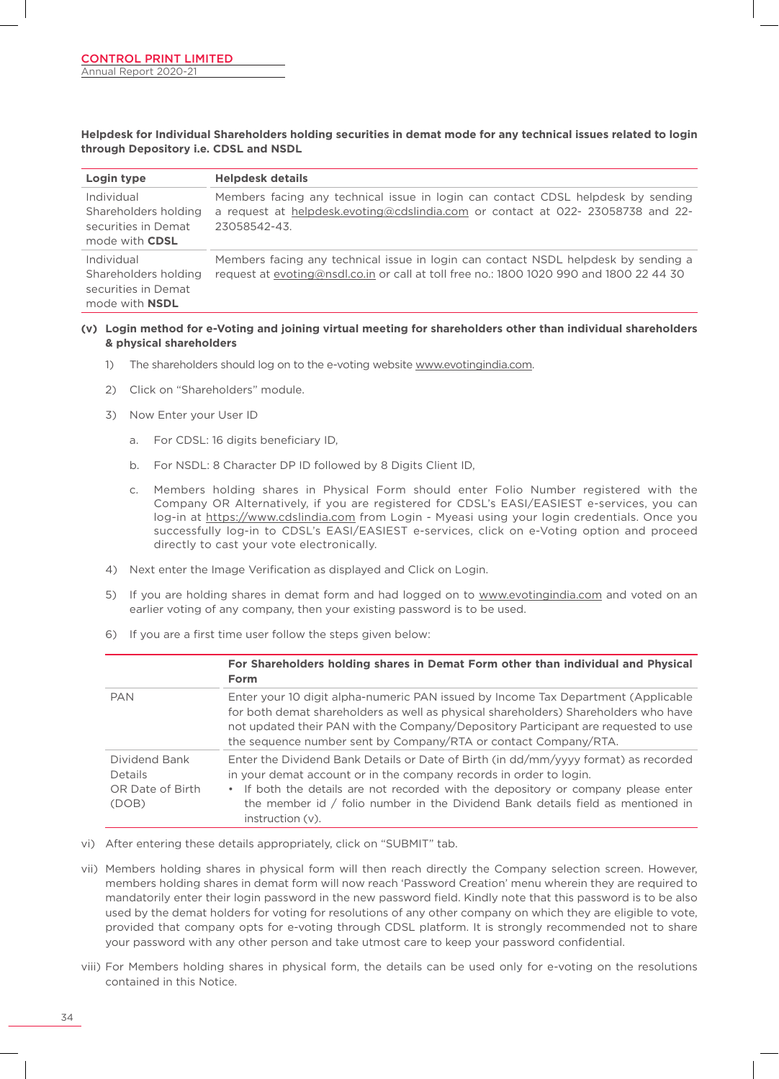**Helpdesk for Individual Shareholders holding securities in demat mode for any technical issues related to login through Depository i.e. CDSL and NSDL**

| Login type                                                                         | <b>Helpdesk details</b>                                                                                                                                                           |
|------------------------------------------------------------------------------------|-----------------------------------------------------------------------------------------------------------------------------------------------------------------------------------|
| Individual<br>Shareholders holding<br>securities in Demat<br>mode with CDSL        | Members facing any technical issue in login can contact CDSL helpdesk by sending<br>a request at helpdesk.evoting@cdslindia.com or contact at 022-23058738 and 22-<br>23058542-43 |
| Individual<br>Shareholders holding<br>securities in Demat<br>mode with <b>NSDL</b> | Members facing any technical issue in login can contact NSDL helpdesk by sending a<br>request at evoting@nsdl.co.in or call at toll free no.: 1800 1020 990 and 1800 22 44 30     |

#### **(v) Login method for e-Voting and joining virtual meeting for shareholders other than individual shareholders & physical shareholders**

- 1) The shareholders should log on to the e-voting website www.evotingindia.com.
- 2) Click on "Shareholders" module.
- 3) Now Enter your User ID
	- a. For CDSL: 16 digits beneficiary ID,
	- b. For NSDL: 8 Character DP ID followed by 8 Digits Client ID,
	- c. Members holding shares in Physical Form should enter Folio Number registered with the Company OR Alternatively, if you are registered for CDSL's EASI/EASIEST e-services, you can log-in at https://www.cdslindia.com from Login - Myeasi using your login credentials. Once you successfully log-in to CDSL's EASI/EASIEST e-services, click on e-Voting option and proceed directly to cast your vote electronically.
- 4) Next enter the Image Verification as displayed and Click on Login.
- 5) If you are holding shares in demat form and had logged on to www.evotingindia.com and voted on an earlier voting of any company, then your existing password is to be used.
- 6) If you are a first time user follow the steps given below:

|                                                       | For Shareholders holding shares in Demat Form other than individual and Physical<br>Form                                                                                                                                                                                                                                                                  |
|-------------------------------------------------------|-----------------------------------------------------------------------------------------------------------------------------------------------------------------------------------------------------------------------------------------------------------------------------------------------------------------------------------------------------------|
| <b>PAN</b>                                            | Enter your 10 digit alpha-numeric PAN issued by Income Tax Department (Applicable<br>for both demat shareholders as well as physical shareholders) Shareholders who have<br>not updated their PAN with the Company/Depository Participant are requested to use<br>the sequence number sent by Company/RTA or contact Company/RTA.                         |
| Dividend Bank<br>Details<br>OR Date of Birth<br>(DOB) | Enter the Dividend Bank Details or Date of Birth (in dd/mm/yyyy format) as recorded<br>in your demat account or in the company records in order to login.<br>• If both the details are not recorded with the depository or company please enter<br>the member id / folio number in the Dividend Bank details field as mentioned in<br>$instruction (v)$ . |

- vi) After entering these details appropriately, click on "SUBMIT" tab.
- vii) Members holding shares in physical form will then reach directly the Company selection screen. However, members holding shares in demat form will now reach 'Password Creation' menu wherein they are required to mandatorily enter their login password in the new password field. Kindly note that this password is to be also used by the demat holders for voting for resolutions of any other company on which they are eligible to vote, provided that company opts for e-voting through CDSL platform. It is strongly recommended not to share your password with any other person and take utmost care to keep your password confidential.
- viii) For Members holding shares in physical form, the details can be used only for e-voting on the resolutions contained in this Notice.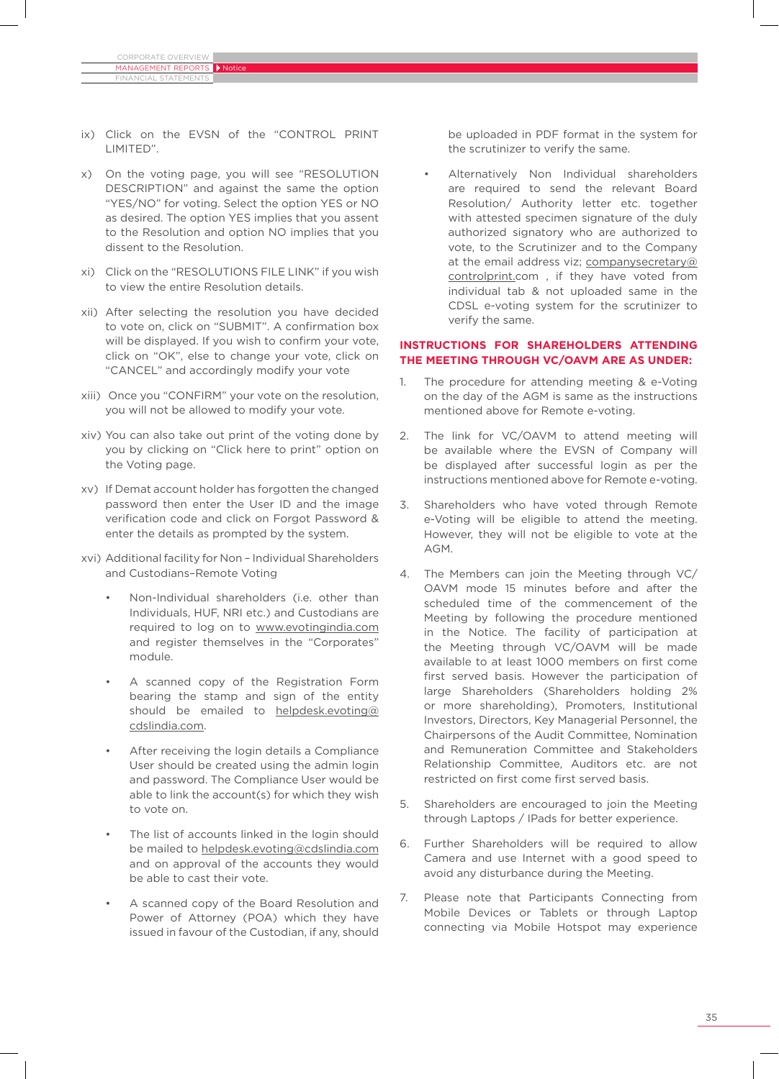Financial Statements

- ix) Click on the EVSN of the "CONTROL PRINT LIMITED".
- x) On the voting page, you will see "RESOLUTION DESCRIPTION" and against the same the option "YES/NO" for voting. Select the option YES or NO as desired. The option YES implies that you assent to the Resolution and option NO implies that you dissent to the Resolution.
- xi) Click on the "RESOLUTIONS FILE LINK" if you wish to view the entire Resolution details.
- xii) After selecting the resolution you have decided to vote on, click on "SUBMIT". A confirmation box will be displayed. If you wish to confirm your vote, click on "OK", else to change your vote, click on "CANCEL" and accordingly modify your vote
- xiii) Once you "CONFIRM" your vote on the resolution, you will not be allowed to modify your vote.
- xiv) You can also take out print of the voting done by you by clicking on "Click here to print" option on the Voting page.
- xv) If Demat account holder has forgotten the changed password then enter the User ID and the image verification code and click on Forgot Password & enter the details as prompted by the system.
- xvi) Additional facility for Non Individual Shareholders and Custodians–Remote Voting
	- Non-Individual shareholders (i.e. other than Individuals, HUF, NRI etc.) and Custodians are required to log on to www.evotingindia.com and register themselves in the "Corporates" module.
	- A scanned copy of the Registration Form bearing the stamp and sign of the entity should be emailed to helpdesk.evoting@ cdslindia.com.
	- After receiving the login details a Compliance User should be created using the admin login and password. The Compliance User would be able to link the account(s) for which they wish to vote on.
	- The list of accounts linked in the login should be mailed to helpdesk.evoting@cdslindia.com and on approval of the accounts they would be able to cast their vote.
	- A scanned copy of the Board Resolution and Power of Attorney (POA) which they have issued in favour of the Custodian, if any, should

be uploaded in PDF format in the system for the scrutinizer to verify the same.

• Alternatively Non Individual shareholders are required to send the relevant Board Resolution/ Authority letter etc. together with attested specimen signature of the duly authorized signatory who are authorized to vote, to the Scrutinizer and to the Company at the email address viz; companysecretary@ controlprint.com , if they have voted from individual tab & not uploaded same in the CDSL e-voting system for the scrutinizer to verify the same.

### **INSTRUCTIONS FOR SHAREHOLDERS ATTENDING THE MEETING THROUGH VC/OAVM ARE AS UNDER:**

- 1. The procedure for attending meeting & e-Voting on the day of the AGM is same as the instructions mentioned above for Remote e-voting.
- 2. The link for VC/OAVM to attend meeting will be available where the EVSN of Company will be displayed after successful login as per the instructions mentioned above for Remote e-voting.
- 3. Shareholders who have voted through Remote e-Voting will be eligible to attend the meeting. However, they will not be eligible to vote at the AGM.
- 4. The Members can join the Meeting through VC/ OAVM mode 15 minutes before and after the scheduled time of the commencement of the Meeting by following the procedure mentioned in the Notice. The facility of participation at the Meeting through VC/OAVM will be made available to at least 1000 members on first come first served basis. However the participation of large Shareholders (Shareholders holding 2% or more shareholding), Promoters, Institutional Investors, Directors, Key Managerial Personnel, the Chairpersons of the Audit Committee, Nomination and Remuneration Committee and Stakeholders Relationship Committee, Auditors etc. are not restricted on first come first served basis.
- 5. Shareholders are encouraged to join the Meeting through Laptops / IPads for better experience.
- 6. Further Shareholders will be required to allow Camera and use Internet with a good speed to avoid any disturbance during the Meeting.
- 7. Please note that Participants Connecting from Mobile Devices or Tablets or through Laptop connecting via Mobile Hotspot may experience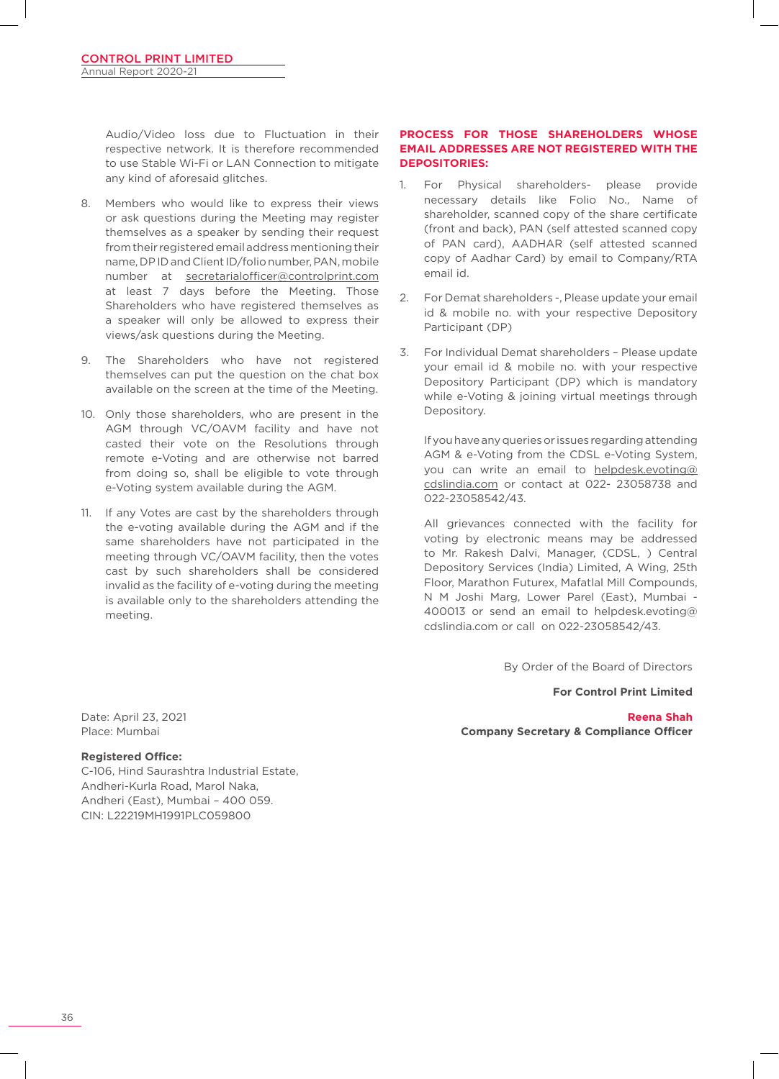Audio/Video loss due to Fluctuation in their respective network. It is therefore recommended to use Stable Wi-Fi or LAN Connection to mitigate any kind of aforesaid glitches.

- 8. Members who would like to express their views or ask questions during the Meeting may register themselves as a speaker by sending their request from their registered email address mentioning their name, DPID and Client ID/folio number, PAN, mobile number at secretarialofficer@controlprint.com at least 7 days before the Meeting. Those Shareholders who have registered themselves as a speaker will only be allowed to express their views/ask questions during the Meeting.
- 9. The Shareholders who have not registered themselves can put the question on the chat box available on the screen at the time of the Meeting.
- 10. Only those shareholders, who are present in the AGM through VC/OAVM facility and have not casted their vote on the Resolutions through remote e-Voting and are otherwise not barred from doing so, shall be eligible to vote through e-Voting system available during the AGM.
- 11. If any Votes are cast by the shareholders through the e-voting available during the AGM and if the same shareholders have not participated in the meeting through VC/OAVM facility, then the votes cast by such shareholders shall be considered invalid as the facility of e-voting during the meeting is available only to the shareholders attending the meeting.

# **PROCESS FOR THOSE SHAREHOLDERS WHOSE EMAIL ADDRESSES ARE NOT REGISTERED WITH THE DEPOSITORIES:**

- 1. For Physical shareholders- please provide necessary details like Folio No., Name of shareholder, scanned copy of the share certificate (front and back), PAN (self attested scanned copy of PAN card), AADHAR (self attested scanned copy of Aadhar Card) by email to Company/RTA email id.
- 2. For Demat shareholders -, Please update your email id & mobile no. with your respective Depository Participant (DP)
- 3. For Individual Demat shareholders Please update your email id & mobile no. with your respective Depository Participant (DP) which is mandatory while e-Voting & joining virtual meetings through Depository.

If you have any queries or issues regarding attending AGM & e-Voting from the CDSL e-Voting System, you can write an email to helpdesk.evoting@ cdslindia.com or contact at 022- 23058738 and 022-23058542/43.

 All grievances connected with the facility for voting by electronic means may be addressed to Mr. Rakesh Dalvi, Manager, (CDSL, ) Central Depository Services (India) Limited, A Wing, 25th Floor, Marathon Futurex, Mafatlal Mill Compounds, N M Joshi Marg, Lower Parel (East), Mumbai - 400013 or send an email to helpdesk.evoting@ cdslindia.com or call on 022-23058542/43.

By Order of the Board of Directors

**For Control Print Limited**

**Reena Shah Company Secretary & Compliance Officer**

Date: April 23, 2021 Place: Mumbai

# **Registered Office:**

C-106, Hind Saurashtra Industrial Estate, Andheri-Kurla Road, Marol Naka, Andheri (East), Mumbai – 400 059. CIN: L22219MH1991PLC059800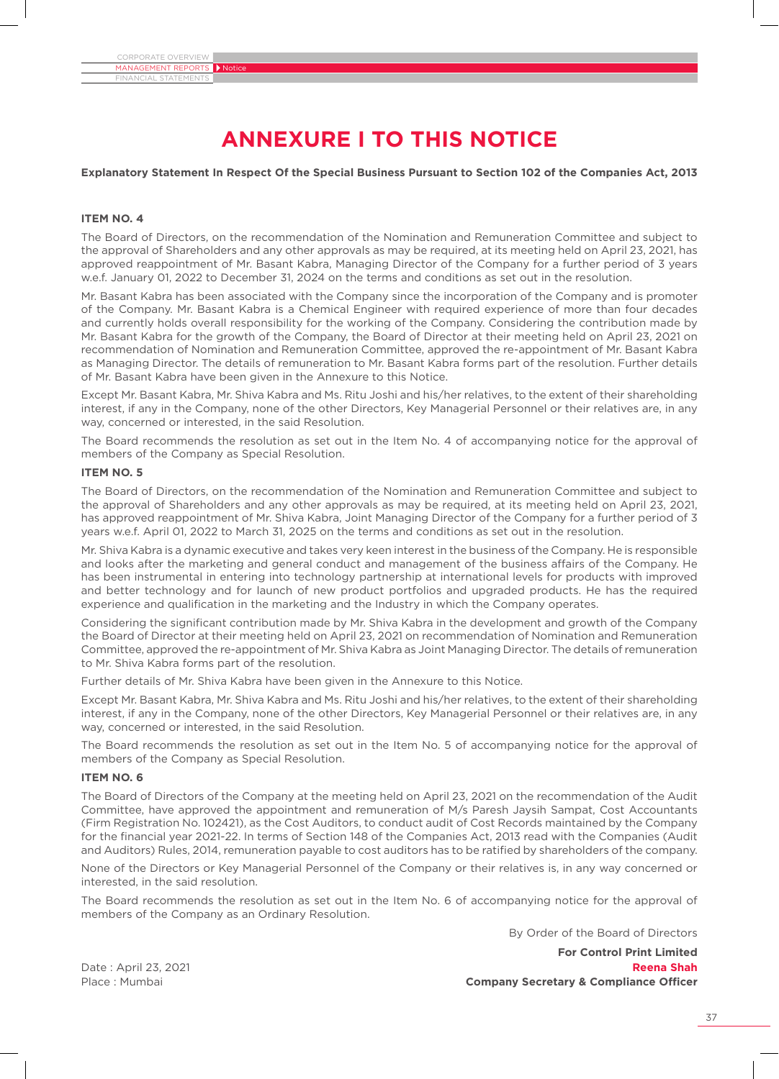# **Annexure I to this Notice**

#### **Explanatory Statement In Respect Of the Special Business Pursuant to Section 102 of the Companies Act, 2013**

#### **ITEM NO. 4**

The Board of Directors, on the recommendation of the Nomination and Remuneration Committee and subject to the approval of Shareholders and any other approvals as may be required, at its meeting held on April 23, 2021, has approved reappointment of Mr. Basant Kabra, Managing Director of the Company for a further period of 3 years w.e.f. January 01, 2022 to December 31, 2024 on the terms and conditions as set out in the resolution.

Mr. Basant Kabra has been associated with the Company since the incorporation of the Company and is promoter of the Company. Mr. Basant Kabra is a Chemical Engineer with required experience of more than four decades and currently holds overall responsibility for the working of the Company. Considering the contribution made by Mr. Basant Kabra for the growth of the Company, the Board of Director at their meeting held on April 23, 2021 on recommendation of Nomination and Remuneration Committee, approved the re-appointment of Mr. Basant Kabra as Managing Director. The details of remuneration to Mr. Basant Kabra forms part of the resolution. Further details of Mr. Basant Kabra have been given in the Annexure to this Notice.

Except Mr. Basant Kabra, Mr. Shiva Kabra and Ms. Ritu Joshi and his/her relatives, to the extent of their shareholding interest, if any in the Company, none of the other Directors, Key Managerial Personnel or their relatives are, in any way, concerned or interested, in the said Resolution.

The Board recommends the resolution as set out in the Item No. 4 of accompanying notice for the approval of members of the Company as Special Resolution.

#### **ITEM NO. 5**

The Board of Directors, on the recommendation of the Nomination and Remuneration Committee and subject to the approval of Shareholders and any other approvals as may be required, at its meeting held on April 23, 2021, has approved reappointment of Mr. Shiva Kabra, Joint Managing Director of the Company for a further period of 3 years w.e.f. April 01, 2022 to March 31, 2025 on the terms and conditions as set out in the resolution.

Mr. Shiva Kabra is a dynamic executive and takes very keen interest in the business of the Company. He is responsible and looks after the marketing and general conduct and management of the business affairs of the Company. He has been instrumental in entering into technology partnership at international levels for products with improved and better technology and for launch of new product portfolios and upgraded products. He has the required experience and qualification in the marketing and the Industry in which the Company operates.

Considering the significant contribution made by Mr. Shiva Kabra in the development and growth of the Company the Board of Director at their meeting held on April 23, 2021 on recommendation of Nomination and Remuneration Committee, approved the re-appointment of Mr. Shiva Kabra as Joint Managing Director. The details of remuneration to Mr. Shiva Kabra forms part of the resolution.

Further details of Mr. Shiva Kabra have been given in the Annexure to this Notice.

Except Mr. Basant Kabra, Mr. Shiva Kabra and Ms. Ritu Joshi and his/her relatives, to the extent of their shareholding interest, if any in the Company, none of the other Directors, Key Managerial Personnel or their relatives are, in any way, concerned or interested, in the said Resolution.

The Board recommends the resolution as set out in the Item No. 5 of accompanying notice for the approval of members of the Company as Special Resolution.

## **ITEM NO. 6**

The Board of Directors of the Company at the meeting held on April 23, 2021 on the recommendation of the Audit Committee, have approved the appointment and remuneration of M/s Paresh Jaysih Sampat, Cost Accountants (Firm Registration No. 102421), as the Cost Auditors, to conduct audit of Cost Records maintained by the Company for the financial year 2021-22. In terms of Section 148 of the Companies Act, 2013 read with the Companies (Audit and Auditors) Rules, 2014, remuneration payable to cost auditors has to be ratified by shareholders of the company.

None of the Directors or Key Managerial Personnel of the Company or their relatives is, in any way concerned or interested, in the said resolution.

The Board recommends the resolution as set out in the Item No. 6 of accompanying notice for the approval of members of the Company as an Ordinary Resolution.

By Order of the Board of Directors

**For Control Print Limited** Date : April 23, 2021 **Reena Shah** Place : Mumbai **Company Secretary & Compliance Officer**